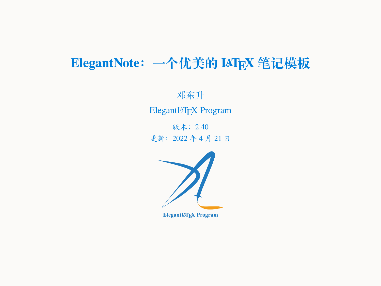# **ElegantNote:一个优美的 LATEX 笔记模板**

邓东升 ElegantLATEX Program

版本:2.40 更新:2022 年 4 月 21 日



ElegantIATEX Program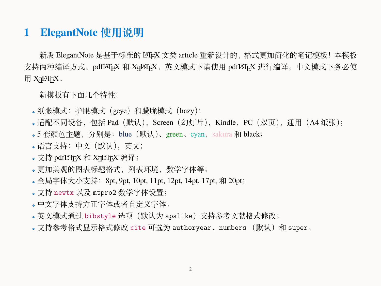### **1 ElegantNote 使用说明**

新版 ElegantNote 是基于标准的 LATEX 文类 article 重新设计的, 格式更加简化的笔记模板! 本模板 支持两种编译方式,pdfLATEX 和 XaLATEX,英文模式下请使用 pdfLATEX 进行编译,中文模式下务必使 用 XALATEX。

新模板有下面几个特性:

- 纸张模式:护眼模式(geye)和朦胧模式(hazy);
- •适配不同设备,包括 Pad(默认),Screen(幻灯片),Kindle,PC(双页),通用(A4 纸张);
- 5 套颜色主题, 分别是: blue (默认)、green、cyan、sakura 和 black;
- 语言支持:中文(默认),英文;
- 支持 pdfl4TFX 和 X7L4TFX 编译;
- 更加美观的图表标题格式,列表环境,数学字体等;
- 全局字体大小支持: 8pt, 9pt, 10pt, 11pt, 12pt, 14pt, 17pt, 和 20pt;
- 支持 newtx 以及 mtpro2 数学字体设置;
- 中文字体支持方正字体或者自定义字体;
- 英文模式通过 bibstyle 选项(默认为 apalike)支持参考文献格式修改;
- 。支持参考格式显示格式修改 cite 可选为 authoryear、numbers (默认)和 super。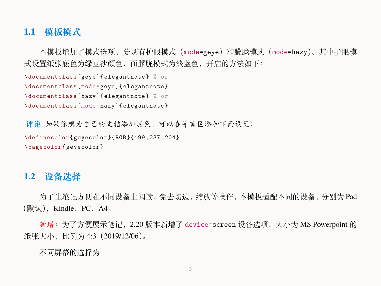### **1.1 模板模式**

本模板增加了模式选项,分别有护眼模式(mode=geye)和朦胧模式(mode=hazy)。其中护眼模 式设置纸张底色为绿豆沙颜色,而朦胧模式为淡蓝色,开启的方法如下:

```
\documentclass[geye]{elegantnote} % or
\documentclass[mode=geye]{elegantnote}
\documentclass[hazy]{elegantnote} % or
```

```
\documentclass[mode=hazy]{elegantnote}
```

```
评论 如果你想为自己的文档添加底色,可以在导言区添加下面设置:
\definecolor{geyecolor}{RGB}{199 ,237 ,204}
\pagecolor{geyecolor}
```
#### **1.2 设备选择**

为了让笔记方便在不同设备上阅读,免去切边,缩放等操作,本模板适配不同的设备,分别为 Pad  $(\mathbb{R} \mathcal{H})$ , Kindle, PC, A4.

新增: 为了方便展示笔记, 2.20 版本新增了 device=screen 设备选项, 大小为 MS Powerpoint 的 纸张大小,比例为 4:3 (2019/12/06)。

不同屏幕的选择为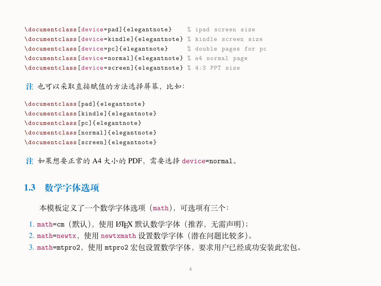\documentclass[device=pad]{elegantnote} % ipad screen size \documentclass[device=kindle]{elegantnote} % kindle screen size \documentclass[device=pc]{elegantnote} % double pages for pc \documentclass[device=normal]{elegantnote} % a4 normal page \documentclass[device=screen]{elegantnote} % 4:3 PPT size

**注** 也可以采取直接赋值的方法选择屏幕,比如:

```
\documentclass[pad]{elegantnote}
\documentclass[kindle]{elegantnote}
\documentclass[pc]{elegantnote}
\documentclass[normal]{elegantnote}
\documentclass[screen]{elegantnote}
```
**注** 如果想要正常的 A4 大小的 PDF,需要选择 device=normal。

#### **1.3 数学字体选项**

本模板定义了一个数学字体选项(math),可选项有三个:

- 1. math=cm (默认), 使用 LATFX 默认数学字体 (推荐, 无需声明);
- 2. math=newtx,使用 newtxmath 设置数学字体(潜在问题比较多)。
- 3. math=mtpro2,使用 mtpro2 宏包设置数学字体,要求用户已经成功安装此宏包。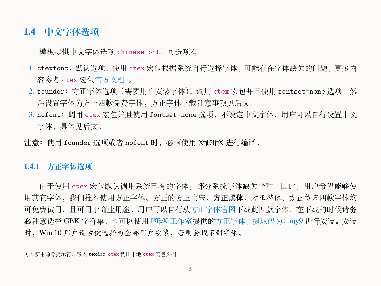#### **1.4 中文字体选项**

模板提供中文字体选项 chinesefont,可选项有

- 1. ctexfont:默认选项,使用 ctex 宏包根据系统自行选择字体,可能存在字体缺失的问题,更多内 容参考 ctex 宏句[官方文档](https://ctan.org/pkg/ctex) $^1$ 。
- 2. founder:方正字体选项(需要用户安装字体),调用 ctex 宏包并且使用 fontset=none 选项,然 后设置字体为方正四款免费字体,方正字体下载注意事项见后文。
- 3. nofont:调用 ctex 宏包并且使用 fontset=none 选项,不设定中文字体,用户可以自行设置中文 字体,具体见后文。
- 注意: 使用 founder 选项或者 nofont 时, 必须使用 XqLAT<sub>E</sub>X 进行编译。

#### **1.4.1 方正字体选项**

由于使用 ctex 宏包默认调用系统已有的字体,部分系统字体缺失严重,因此,用户希望能够使 用其它字体,我们推荐使用方正字体。方正的方正书宋、**方正黑体**、方正楷体、方正仿宋四款字体均 可免费试用,且可用于商业用途。用户可以自行从[方正字体官网下](http://www.foundertype.com/)载此四款字体,在下载的时候请**务 必**注意选择 GBK 字符集,也可以使用 LATEX [工作室提](https://www.latexstudio.net/)供的[方正字体,提取码为:](https://pan.baidu.com/s/1BgbQM7LoinY7m8yeP25Y7Q)njy9 进行安装。安装 时,Win 10 用户请右键选择为全部用户安装,否则会找不到字体。

<sup>1</sup>可以使用命令提示符,输入 texdoc ctex 调出本地 ctex 宏包文档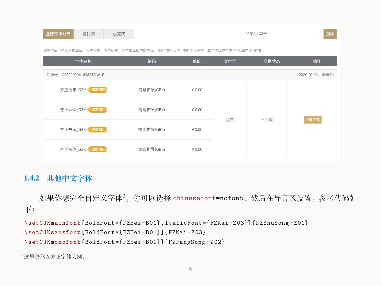| 待付款<br>全部字体订单<br>已完成                                            |           |          |     | 字体/订单号 | 搜索                  |  |
|-----------------------------------------------------------------|-----------|----------|-----|--------|---------------------|--|
| 如果订单中包含方正黑体、方正书宋、方正仿宋、方正楷体这四款字体,针对"商业发布"使用方式免费,其它字体仅用于"个人非商业"使用 |           |          |     |        |                     |  |
| 字体名称                                                            | 编码        | 单价       | 实付价 | 交易状态   | 操作                  |  |
| 订单号: C20200204164821OW1F                                        |           |          |     |        | 2020-02-04 16:48:21 |  |
| 方正仿宋_GBK ● 免费商用                                                 | 简繁扩展(GBK) | $¥$ 0.00 | 免费  | 已完成    | 下载字体                |  |
| 方正黑体_GBK ● 免费商用                                                 | 简繁扩展(GBK) | $¥$ 0.00 |     |        |                     |  |
| 方正书宋_GBK ● 免费商用                                                 | 简繁扩展(GBK) | $¥$ 0.00 |     |        |                     |  |
| 方正楷体_GBK ● 免费商用                                                 | 简繁扩展(GBK) | $¥$ 0.00 |     |        |                     |  |

#### **1.4.2 其他中文字体**

如果你想完全自定义字体<sup>2</sup>,你可以选择 chinesefont=nofont,然后在导言区设置,参考代码如 下:

```
\setCJKmainfont[BoldFont={FZHei -B01},ItalicFont={FZKai -Z03}]{ FZShuSong -Z01}
\setCJKsansfont[BoldFont={FZHei -B01}]{FZKai -Z03}
\setCJKmonofont[BoldFont={FZHei -B01}]{ FZFangSong -Z02}
```
<sup>2</sup>这里仍然以方正字体为例。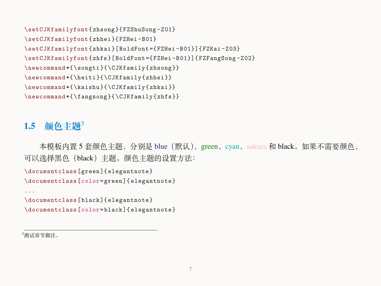```
\setCJKfamilyfont{zhsong}{FZShuSong -Z01}
\setCJKfamilyfont{zhhei}{FZHei -B01}
\setCJKfamilyfont{zhkai}[BoldFont={FZHei -B01}]{FZKai -Z03}
\setCJKfamilyfont{zhfs}[BoldFont={FZHei -B01}]{ FZFangSong -Z02}
\newcommand *{\songti}{\CJKfamily{zhsong}}
\newcommand *{\heiti}{\CJKfamily{zhhei}}
\newcommand *{\kaishu}{\CJKfamily{zhkai}}
\newcommand *{\fangsong}{\CJKfamily{zhfs}}
```
#### **1.5 颜色主题**3

本模板内置 5 套颜色主题, 分别是 blue (默认), green, cyan, sakura 和 black。如果不需要颜色, 可以选择黑色(black)主题。颜色主题的设置方法:

```
\documentclass[green]{elegantnote}
\documentclass[color=green]{elegantnote}
```

```
...
\documentclass[black]{elegantnote}
\documentclass[color=black]{elegantnote}
```
<sup>3</sup>测试章节脚注。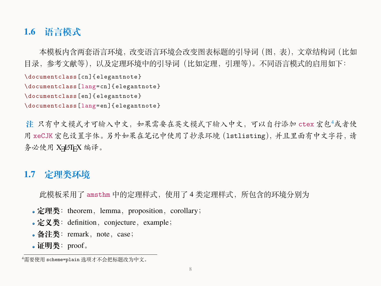# **1.6 语言模式**

本模板内含两套语言环境,改变语言环境会改变图表标题的引导词(图,表),文章结构词(比如 目录,参考文献等),以及定理环境中的引导词(比如定理,引理等)。不同语言模式的启用如下: \documentclass[cn]{elegantnote} \documentclass[lang=cn]{elegantnote} \documentclass[en]{elegantnote} \documentclass[lang=en]{elegantnote}

h 只有中文模式才可输入中文,如果需要在英文模式下输入中文,可以自行添加 ctex 宏包<sup>4</sup>或者使 用 xeCJK 宏包设置字体。另外如果在笔记中使用了抄录环境(lstlisting),并且里面有中文字符,请 务必使用 XqLATFX 编译。

### **1.7 定理类环境**

此模板采用了 amsthm 中的定理样式, 使用了 4 类定理样式, 所包含的环境分别为

- 定理类: theorem, lemma, proposition, corollary;
- 定义类: definition, conjecture, example;
- 备注类: remark, note, case;
- 证明类: proof。

<sup>4</sup>需要使用 scheme=plain 选项才不会把标题改为中文。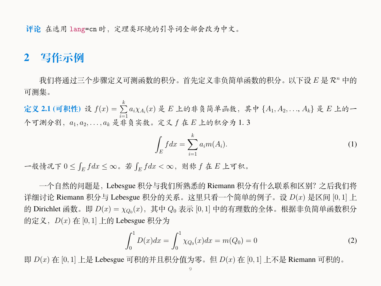**评论** 在选用 lang=cn 时,定理类环境的引导词全部会改为中文。

#### **2 写作示例**

我们将通过三个步骤定义可测函数的积分。首先定义非负简单函数的积分。以下设 *E* 是 *R<sup>n</sup>* 中的 可测集。

 $\hat{\mathbf{z}}$ 义 2.1 (可积性) 设  $f(x) = \sum^{k}$ *i*=1 *aiχ<sup>A</sup><sup>i</sup>* (*x*) 是 *E* 上的非负简单函数,其中 *{A*1*, A*2*, . . .*, *Ak}* 是 *E* 上的一 个可测分割,*a*1*, a*2*, . . . , a<sup>k</sup>* 是非负实数。定义 *f* 在 *E* 上的积分为 1. 3

$$
\int_{E} f dx = \sum_{i=1}^{k} a_i m(A_i). \tag{1}
$$

一般情况下 0 *≤* ∫ *E f dx ≤ ∞*。若 ∫ *E f dx < ∞*,则称 *f* 在 *E* 上可积。

一个自然的问题是,Lebesgue 积分与我们所熟悉的 Riemann 积分有什么联系和区别?之后我们将 详细讨论 Riemann 积分与 Lebesgue 积分的关系。这里只看一个简单的例子。设 *D*(*x*) 是区间 [0*,* 1] 上 的 Dirichlet 函数。即  $D(x) = \chi_{Q_0}(x)$ ,其中  $Q_0$  表示  $[0,1]$  中的有理数的全体。根据非负简单函数积分 的定义,*D*(*x*) 在 [0*,* 1] 上的 Lebesgue 积分为

$$
\int_0^1 D(x)dx = \int_0^1 \chi_{Q_0}(x)dx = m(Q_0) = 0
$$
\n(2)

即 *D*(*x*) 在 [0*,* 1] 上是 Lebesgue 可积的并且积分值为零。但 *D*(*x*) 在 [0*,* 1] 上不是 Riemann 可积的。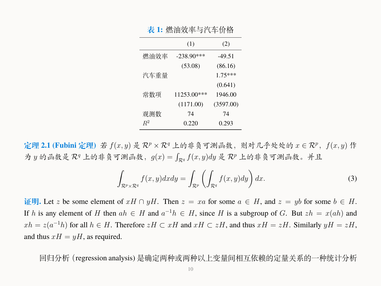|       | (1)          | (2)       |
|-------|--------------|-----------|
| 燃油效率  | $-238.90***$ | $-49.51$  |
|       | (53.08)      | (86.16)   |
| 汽车重量  |              | $1.75***$ |
|       |              | (0.641)   |
| 常数项   | 11253.00***  | 1946.00   |
|       | (1171.00)    | (3597.00) |
| 观测数   | 74           | 74        |
| $R^2$ | 0.220        | 0.293     |
|       |              |           |

**表 1:** 燃油效率与汽车价格

<span id="page-9-0"></span>**定理 2.1 (Fubini 定理)** 若 *f*(*x, y*) 是 *R<sup>p</sup> × R<sup>q</sup>* 上的非负可测函数,则对几乎处处的 *x ∈ R<sup>p</sup>*,*f*(*x, y*) 作 为 *y* 的函数是 *R<sup>q</sup>* 上的非负可测函数,*g*(*x*) = ∫ *<sup>R</sup><sup>q</sup> f*(*x, y*)*dy* 是 *R<sup>p</sup>* 上的非负可测函数。并且

$$
\int_{\mathcal{R}^p \times \mathcal{R}^q} f(x, y) dx dy = \int_{\mathcal{R}^p} \left( \int_{\mathcal{R}^q} f(x, y) dy \right) dx.
$$
 (3)

 **证明**. Let *z* be some element of  $xH \cap yH$ . Then  $z = xa$  for some  $a \in H$ , and  $z = yb$  for some  $b \in H$ . If *h* is any element of *H* then  $ah \in H$  and  $a^{-1}h \in H$ , since *H* is a subgroup of *G*. But  $zh = x(ah)$  and *xh* = *z*( $a^{-1}h$ ) for all  $h \in H$ . Therefore *zH* ⊂ *xH* and  $xH \subset zH$ , and thus  $xH = zH$ . Similarly  $yH = zH$ , and thus  $xH = yH$ , as required.

回归分析(regression analysis) 是确定两种或两种以上变量间相互依赖的定量关系的一种统计分析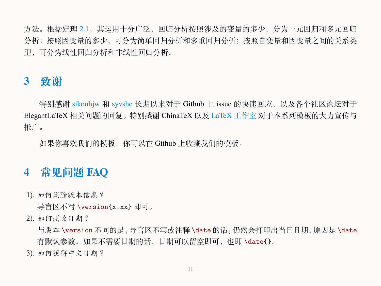方法。根据定理 [2.1](#page-9-0),其运用十分广泛,回归分析按照涉及的变量的多少,分为一元回归和多元回归 分析;按照因变量的多少,可分为简单回归分析和多重回归分析;按照自变量和因变量之间的关系类 型,可分为线性回归分析和非线性回归分析。

# **3 致谢**

特别感谢 [sikouhjw](https://github.com/sikouhjw) 和 [syvshc](https://github.com/syvshc) 长期以来对于 Github 上 issue 的快速回应, 以及各个社区论坛对于 ElegantLaTeX 相关问题的回复。特别感谢 ChinaTeX 以及 LaTeX [工作室](http://www.latexstudio.net/) 对于本系列模板的大力宣传与 推广。

如果你喜欢我们的模板,你可以在 Github 上收藏我们的模板。

# **4 常见问题 FAQ**

1). 如何删除版本信息?

导言区不写 \version{x.xx} 即可。

2). 如何删除日期?

与版本 \version 不同的是,导言区不写或注释 \date 的话,仍然会打印出当日日期,原因是 \date 有默认参数。如果不需要日期的话,日期可以留空即可,也即 \date{}。

3). 如何获得中文日期?